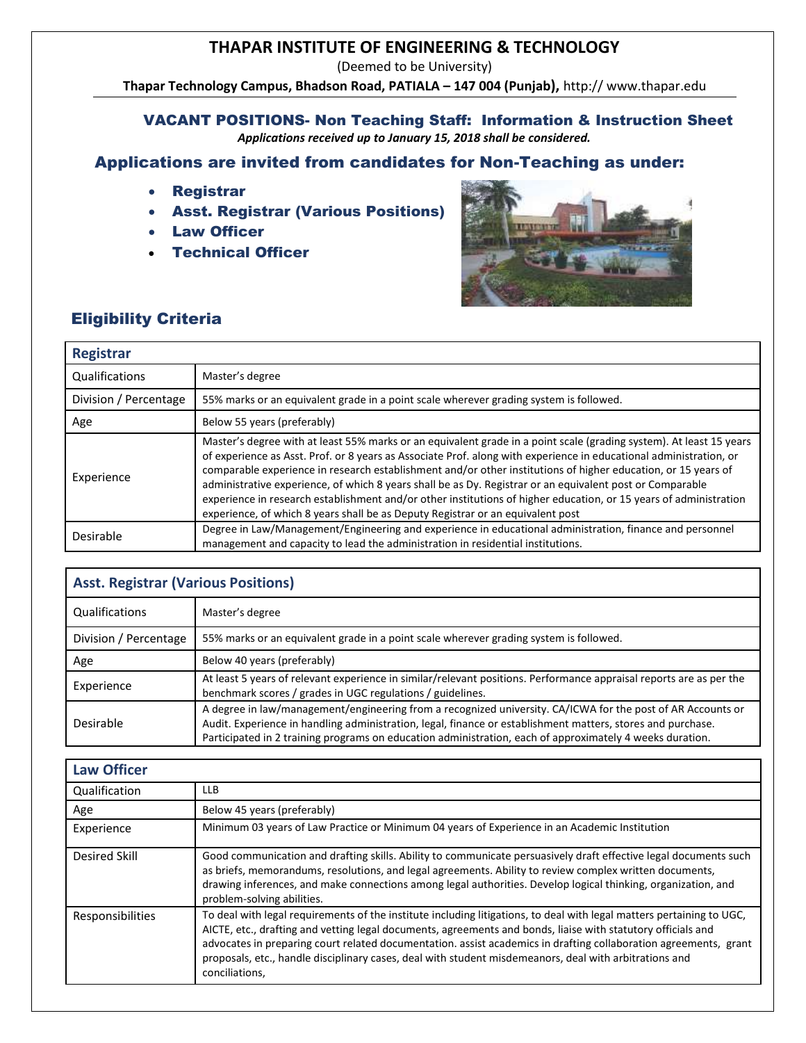## **THAPAR INSTITUTE OF ENGINEERING & TECHNOLOGY**

(Deemed to be University)

**Thapar Technology Campus, Bhadson Road, PATIALA – 147 004 (Punjab),** http:// [www.thapar.edu](http://www.thapar.edu/)

#### VACANT POSITIONS- Non Teaching Staff: Information & Instruction Sheet *Applications received up to January 15, 2018 shall be considered.*

# Applications are invited from candidates for Non-Teaching as under:

- Registrar
- Asst. Registrar (Various Positions)
- Law Officer
- Technical Officer



## Eligibility Criteria

| <b>Registrar</b>      |                                                                                                                                                                                                                                                                                                                                                                                                                                                                                                                                                                                                                                                                                 |  |
|-----------------------|---------------------------------------------------------------------------------------------------------------------------------------------------------------------------------------------------------------------------------------------------------------------------------------------------------------------------------------------------------------------------------------------------------------------------------------------------------------------------------------------------------------------------------------------------------------------------------------------------------------------------------------------------------------------------------|--|
| Qualifications        | Master's degree                                                                                                                                                                                                                                                                                                                                                                                                                                                                                                                                                                                                                                                                 |  |
| Division / Percentage | 55% marks or an equivalent grade in a point scale wherever grading system is followed.                                                                                                                                                                                                                                                                                                                                                                                                                                                                                                                                                                                          |  |
| Age                   | Below 55 years (preferably)                                                                                                                                                                                                                                                                                                                                                                                                                                                                                                                                                                                                                                                     |  |
| Experience            | Master's degree with at least 55% marks or an equivalent grade in a point scale (grading system). At least 15 years<br>of experience as Asst. Prof. or 8 years as Associate Prof. along with experience in educational administration, or<br>comparable experience in research establishment and/or other institutions of higher education, or 15 years of<br>administrative experience, of which 8 years shall be as Dy. Registrar or an equivalent post or Comparable<br>experience in research establishment and/or other institutions of higher education, or 15 years of administration<br>experience, of which 8 years shall be as Deputy Registrar or an equivalent post |  |
| Desirable             | Degree in Law/Management/Engineering and experience in educational administration, finance and personnel<br>management and capacity to lead the administration in residential institutions.                                                                                                                                                                                                                                                                                                                                                                                                                                                                                     |  |

| <b>Asst. Registrar (Various Positions)</b> |                                                                                                                                                                                                                                                                                                                                        |  |
|--------------------------------------------|----------------------------------------------------------------------------------------------------------------------------------------------------------------------------------------------------------------------------------------------------------------------------------------------------------------------------------------|--|
| Qualifications                             | Master's degree                                                                                                                                                                                                                                                                                                                        |  |
| Division / Percentage                      | 55% marks or an equivalent grade in a point scale wherever grading system is followed.                                                                                                                                                                                                                                                 |  |
| Age                                        | Below 40 years (preferably)                                                                                                                                                                                                                                                                                                            |  |
| Experience                                 | At least 5 years of relevant experience in similar/relevant positions. Performance appraisal reports are as per the<br>benchmark scores / grades in UGC regulations / guidelines.                                                                                                                                                      |  |
| Desirable                                  | A degree in law/management/engineering from a recognized university. CA/ICWA for the post of AR Accounts or<br>Audit. Experience in handling administration, legal, finance or establishment matters, stores and purchase.<br>Participated in 2 training programs on education administration, each of approximately 4 weeks duration. |  |

### **Law Officer**

| Qualification    | <b>LLB</b>                                                                                                                                                                                                                                                                                                                                                                                                                                                                            |  |
|------------------|---------------------------------------------------------------------------------------------------------------------------------------------------------------------------------------------------------------------------------------------------------------------------------------------------------------------------------------------------------------------------------------------------------------------------------------------------------------------------------------|--|
| Age              | Below 45 years (preferably)                                                                                                                                                                                                                                                                                                                                                                                                                                                           |  |
| Experience       | Minimum 03 years of Law Practice or Minimum 04 years of Experience in an Academic Institution                                                                                                                                                                                                                                                                                                                                                                                         |  |
| Desired Skill    | Good communication and drafting skills. Ability to communicate persuasively draft effective legal documents such<br>as briefs, memorandums, resolutions, and legal agreements. Ability to review complex written documents,<br>drawing inferences, and make connections among legal authorities. Develop logical thinking, organization, and<br>problem-solving abilities.                                                                                                            |  |
| Responsibilities | To deal with legal requirements of the institute including litigations, to deal with legal matters pertaining to UGC,<br>AICTE, etc., drafting and vetting legal documents, agreements and bonds, liaise with statutory officials and<br>advocates in preparing court related documentation. assist academics in drafting collaboration agreements, grant<br>proposals, etc., handle disciplinary cases, deal with student misdemeanors, deal with arbitrations and<br>conciliations, |  |